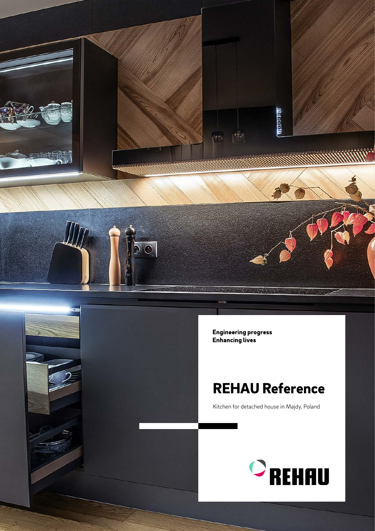

**Engineering progress Enhancing lives** 

## REHAU Reference

Kitchen for detached house in Majdy, Poland